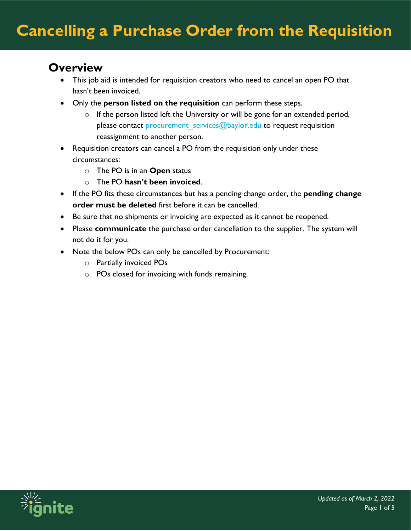## **Overview**

- This job aid is intended for requisition creators who need to cancel an open PO that hasn't been invoiced.
- Only the **person listed on the requisition** can perform these steps.
	- $\circ$  If the person listed left the University or will be gone for an extended period, please contact procurement services@baylor.edu to request requisition reassignment to another person.
- Requisition creators can cancel a PO from the requisition only under these circumstances:
	- o The PO is in an **Open** status
	- o The PO **hasn't been invoiced**.
- If the PO fits these circumstances but has a pending change order, the **pending change order must be deleted** first before it can be cancelled.
- Be sure that no shipments or invoicing are expected as it cannot be reopened.
- Please **communicate** the purchase order cancellation to the supplier. The system will not do it for you.
- Note the below POs can only be cancelled by Procurement:
	- o Partially invoiced POs
	- o POs closed for invoicing with funds remaining.

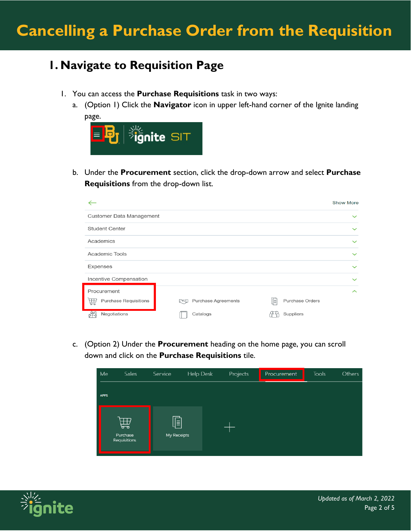## **1. Navigate to Requisition Page**

- 1. You can access the **Purchase Requisitions** task in two ways:
	- a. (Option 1) Click the **Navigator** icon in upper left-hand corner of the Ignite landing page.



b. Under the **Procurement** section, click the drop-down arrow and select **Purchase Requisitions** from the drop-down list.

|                                                  |                               | <b>Show More</b>               |
|--------------------------------------------------|-------------------------------|--------------------------------|
| Customer Data Management                         |                               | $\checkmark$                   |
| <b>Student Center</b>                            |                               | $\checkmark$                   |
| Academics                                        |                               | $\checkmark$                   |
| Academic Tools                                   |                               | $\checkmark$                   |
| Expenses                                         |                               | $\checkmark$                   |
| Incentive Compensation                           |                               | $\checkmark$                   |
| Procurement<br><b>Purchase Requisitions</b><br>孟 | Purchase Agreements<br>لتحملا | $\sim$<br>咱<br>Purchase Orders |
| Negotiations                                     | Catalogs                      | Suppliers                      |

c. (Option 2) Under the **Procurement** heading on the home page, you can scroll down and click on the **Purchase Requisitions** tile.



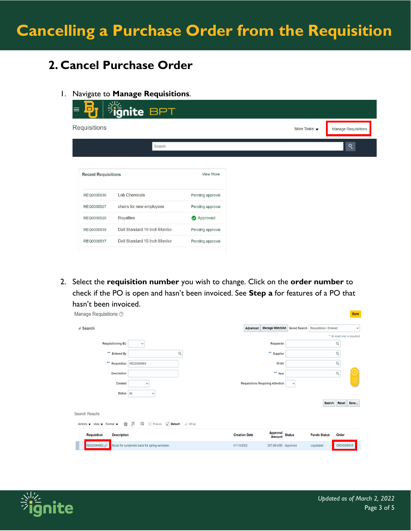## **2. Cancel Purchase Order**

1. Navigate to **Manage Requisitions**.

| D                          | ignite BPT                    |                  |                      |                            |
|----------------------------|-------------------------------|------------------|----------------------|----------------------------|
| Requisitions               |                               |                  | More Tasks $\bullet$ | <b>Manage Requisitions</b> |
|                            | Search                        |                  |                      | ঀ                          |
| <b>Recent Requisitions</b> |                               | <b>View More</b> |                      |                            |
| REQ0000530                 | Lab Chemicals                 | Pending approval |                      |                            |
| REQ0000527                 | chairs for new employees      | Pending approval |                      |                            |
| REQ0000520                 | Royalties                     | Approved         |                      |                            |
| REQ0000518                 | Dell Standard 19 Inch Monitor | Pending approval |                      |                            |
| REQ0000517                 | Dell Standard 19 Inch Monitor | Pending approval |                      |                            |
|                            |                               |                  |                      |                            |

2. Select the **requisition number** you wish to change. Click on the **order number** to check if the PO is open and hasn't been invoiced. See **Step a** for features of a PO that hasn't been invoiced.

| Manage Requisitions 2                                                                   |                                                      |                                         |                                                      |                     | <b>Done</b>                 |
|-----------------------------------------------------------------------------------------|------------------------------------------------------|-----------------------------------------|------------------------------------------------------|---------------------|-----------------------------|
| ▲ Search                                                                                |                                                      | Advanced                                | Manage Watchlist Saved Search Requisitions   Entered |                     | $\checkmark$                |
|                                                                                         |                                                      |                                         |                                                      |                     | ** At least one is required |
| <b>Requisitioning BU</b>                                                                | $\checkmark$                                         |                                         | Requester                                            |                     | Q                           |
| ** Entered By                                                                           | Q                                                    |                                         | ** Supplier                                          |                     | Q                           |
| ** Requisition REQ0084663                                                               |                                                      |                                         | Order                                                |                     | Q                           |
| <b>Description</b>                                                                      |                                                      |                                         | **<br>Item                                           |                     | Q                           |
| <b>Created</b>                                                                          | $\checkmark$                                         | <b>Requisitions Requiring Attention</b> | $\check{~}$                                          |                     | m                           |
| <b>Status</b>                                                                           | All<br>$\check{~}$                                   |                                         |                                                      |                     |                             |
|                                                                                         |                                                      |                                         |                                                      | <b>Search</b>       | Reset<br>Save               |
| <b>Search Results</b>                                                                   |                                                      |                                         |                                                      |                     |                             |
| 目<br>Actions $\blacktriangledown$ View $\blacktriangledown$ Format $\blacktriangledown$ | 栗<br>$\mathbb{F}$ <b>III</b> Freeze<br>Detach   Wrap |                                         |                                                      |                     |                             |
| <b>Requisition</b><br><b>Description</b>                                                |                                                      | <b>Creation Date</b>                    | Approval<br>Amount<br><b>Status</b>                  | <b>Funds Status</b> | Order                       |
| REQ0084663                                                                              | Music for symphonic band for spring semester.        | 01/13/2022                              | 297.66 USD Approved                                  | Liquidated          | ORD0055818                  |

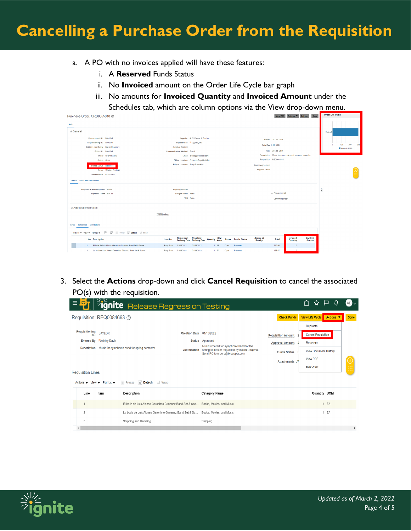- a. A PO with no invoices applied will have these features:
	- i. A **Reserved** Funds Status
	- ii. No **Invoiced** amount on the Order Life Cycle bar graph
	- iii. No amounts for **Invoiced Quantity** and **Invoiced Amount** under the

Schedules tab, which are column options via the View drop-down menu.

| Purchase Order: ORD0055818 2                                                                |                                  |                                                                    |                            |                             |                        | View PDF Actions ▼ Refresh<br>Done                        | <b>OTHER LINE CACHE</b> |
|---------------------------------------------------------------------------------------------|----------------------------------|--------------------------------------------------------------------|----------------------------|-----------------------------|------------------------|-----------------------------------------------------------|-------------------------|
| Main                                                                                        |                                  |                                                                    |                            |                             |                        |                                                           |                         |
| 4 General                                                                                   |                                  |                                                                    |                            |                             |                        |                                                           | Ordered                 |
| Procurement BU BAYLOR                                                                       |                                  | Supplier J. W. Pepper & Son Inc.                                   |                            |                             | Ordered 297.66 USD     |                                                           |                         |
| Requisitioning BU BAYLOR                                                                    |                                  | Supplier Site PO_Box_642                                           |                            | Total Tax 0.00 USD          |                        |                                                           | 300<br>200<br>100       |
| Sold-to Legal Entity Baylor University                                                      | <b>Supplier Contact</b>          |                                                                    |                            |                             |                        |                                                           | Amount (USD)            |
| <b>Bill-to BU BAYLOR</b>                                                                    | Communication Method E-Mail      |                                                                    |                            |                             | Total 297.66 USD       |                                                           |                         |
| Order ORD0055818                                                                            |                                  | Email orders@jwpepper.com                                          |                            |                             |                        | Description Music for symphonic band for spring semester. |                         |
| Status Open                                                                                 |                                  | Bill-to Location Accounts Payable Office                           |                            |                             | Requisition REQ0084663 |                                                           |                         |
| Funds Status Reserved                                                                       | Ship-to Location Roxy Grove Hall |                                                                    |                            | <b>Source Agreement</b>     |                        |                                                           |                         |
| Buyer Mickey Cochran                                                                        |                                  |                                                                    |                            | <b>Supplier Order</b>       |                        |                                                           |                         |
| Creation Date 01/20/2022                                                                    |                                  |                                                                    |                            |                             |                        |                                                           |                         |
| Terms Notes and Attachments                                                                 |                                  |                                                                    |                            |                             |                        |                                                           |                         |
|                                                                                             |                                  |                                                                    |                            |                             |                        |                                                           |                         |
| Required Acknowledgment None                                                                | <b>Shipping Method</b>           |                                                                    |                            |                             |                        |                                                           | F                       |
| Payment Terms Net 30                                                                        | Freight Terms None               |                                                                    |                            |                             | - Pay on receipt       |                                                           |                         |
|                                                                                             |                                  | FOB None                                                           |                            |                             | - Confirming order     |                                                           |                         |
| Additional Information                                                                      |                                  |                                                                    |                            |                             |                        |                                                           |                         |
|                                                                                             |                                  |                                                                    |                            |                             |                        |                                                           |                         |
|                                                                                             | <b>TCM Number:</b>               |                                                                    |                            |                             |                        |                                                           |                         |
|                                                                                             |                                  |                                                                    |                            |                             |                        |                                                           |                         |
| Lines Schedules Distributions                                                               |                                  |                                                                    |                            |                             |                        |                                                           |                         |
| Actions $\sim$ View $\sim$ Format $\sim$ $\sim$ $\frac{600}{240}$<br>Freeze Contach al Wrap |                                  |                                                                    |                            |                             |                        |                                                           |                         |
| <b>Line</b> Description                                                                     | Location                         | Requested Promised<br>Delivery Date Delivery Date<br>Quantity Name | <b>Status</b> Funds Status | <b>Accrue at</b><br>Receipt | Total                  | Invoiced<br>Invoiced<br>Quantity<br>Amount                |                         |
|                                                                                             |                                  |                                                                    |                            |                             |                        |                                                           |                         |
| El baile de Luis Alonso Geronimo Gimenez Band Set & Score<br>1 <sup>1</sup>                 | Roxy Grov 01/13/2022             | 01/13/2022<br>1 EA                                                 | Reserved<br>Open           | $\sim$                      | 140.00                 | $\theta$                                                  |                         |

3. Select the **Actions** drop-down and click **Cancel Requisition** to cancel the associated PO(s) with the requisition.

|                             | Requisition: REQ0084663 2                                                                                          |                                                  |                                                                                                                                               | <b>Check Funds</b>                                                         | Actions ▼<br><b>View Life Cycle</b>                                                       |  |
|-----------------------------|--------------------------------------------------------------------------------------------------------------------|--------------------------------------------------|-----------------------------------------------------------------------------------------------------------------------------------------------|----------------------------------------------------------------------------|-------------------------------------------------------------------------------------------|--|
| Requisitioning<br><b>BU</b> | <b>BAYLOR</b><br><b>Entered By Ashley Davis</b><br>Description Music for symphonic band for spring semester.       | Creation Date 01/13/2022<br><b>Justification</b> | Status Approved<br>Music ordered for symphonic band for the<br>spring semester requested by Isaiah Odajima.<br>Send PO to orders@iwpepper.com | <b>Requisition Amount</b><br><b>Approval Amount</b><br><b>Funds Status</b> | <b>Duplicate</b><br><b>Cancel Requisition</b><br>Reassign<br><b>View Document History</b> |  |
| <b>Requisition Lines</b>    | Detach Wrap<br><b>Freeze</b><br>Actions $\blacktriangledown$ View $\blacktriangledown$ Format $\blacktriangledown$ |                                                  |                                                                                                                                               | <b>Attachments JV</b>                                                      | <b>View PDF</b><br><b>Edit Order</b>                                                      |  |
| Line                        | Item<br><b>Description</b>                                                                                         |                                                  | <b>Category Name</b>                                                                                                                          |                                                                            | Quantity UOM                                                                              |  |
|                             | El baile de Luis Alonso Geronimo Gimenez Band Set & Sco Books, Movies, and Music                                   |                                                  |                                                                                                                                               |                                                                            | 1 EA                                                                                      |  |
| $\overline{2}$              | La boda de Luis Alonso Geronimo Gimenez Band Set & Sc Books, Movies, and Music                                     |                                                  |                                                                                                                                               |                                                                            | EA<br>$\mathbf{1}$                                                                        |  |